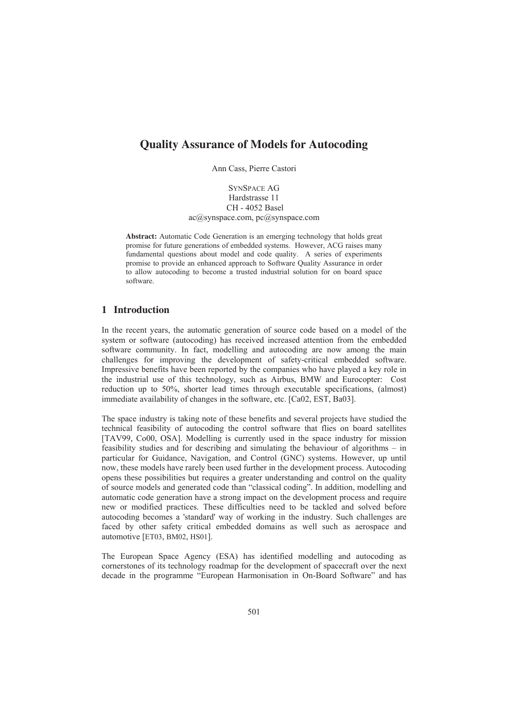# **Quality Assurance of Models for Autocoding**

Ann Cass, Pierre Castori

SYNSPACE AG Hardstrasse 11 CH - 4052 Basel ac@synspace.com, pc@synspace.com

Abstract: Automatic Code Generation is an emerging technology that holds great promise for future generations of embedded systems. However, ACG raises many fundamental questions about model and code quality. A series of experiments promise to provide an enhanced approach to Software Quality Assurance in order to allow autocoding to become a trusted industrial solution for on board space to allow added software.

## 1 Introduction

In the recent years, the automatic generation of source code based on a model of the system or software (autocoding) has received increased attention from the embedded software community. In fact, modelling and autocoding are now among the main challenges for improving the development of safety-critical embedded software. Impressive benefits have been reported by the companies who have played a key role in the industrial use of this technology, such as Airbus, BMW and Eurocopter: Cost reduction up to 50%, shorter lead times through executable specifications, (almost) immediate availability of changes in the software, etc. [Ca02, EST, Ba03].

The space industry is taking note of these benefits and several projects have studied the technical feasibility of autocoding the control software that flies on board satellites [TAV99, Co00, OSA]. Modelling is currently used in the space industry for mission feasibility studies and for describing and simulating the behaviour of algorithms – in particular for Guidance, Navigation, and Control (GNC) systems. However, up until now, these models have rarely been used further in the development process. Autocoding opens these possibilities but requires a greater understanding and control on the quality of source models and generated code than "classical coding". In addition, modelling and automatic code generation have a strong impact on the development process and require new or modified practices. These difficulties need to be tackled and solved before autocoding becomes a 'standard' way of working in the industry. Such challenges are faced by other safety critical embedded domains as well such as aerospace and automotive [ET03, BM02, HS01].

The European Space Agency (ESA) has identified modelling and autocoding as cornerstones of its technology roadmap for the development of spacecraft over the next decade in the programme "European Harmonisation in On-Board Software" and has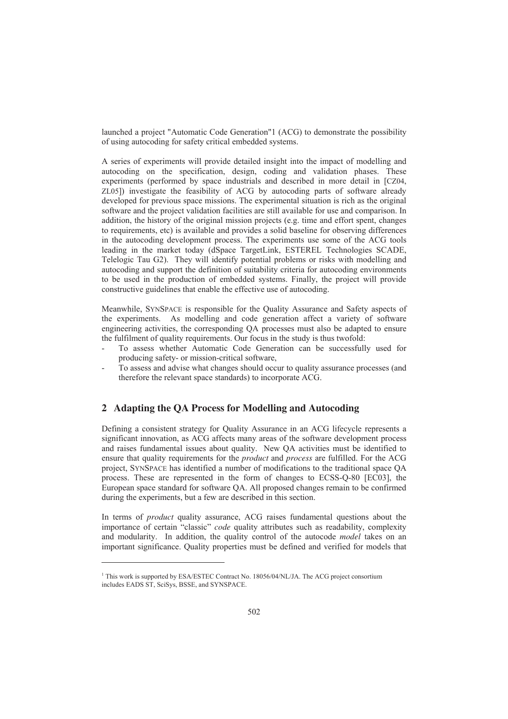launched a project "Automatic Code Generation"1 (ACG) to demonstrate the possibility of using autocoding for safety critical embedded systems.

A series of experiments will provide detailed insight into the impact of modelling and autocoding on the specification, design, coding and validation phases. These experiments (performed by space industrials and described in more detail in [CZ04, ZL05]) investigate the feasibility of ACG by autocoding parts of software already developed for previous space missions. The experimental situation is rich as the original software and the project validation facilities are still available for use and comparison. In addition, the history of the original mission projects (e.g. time and effort spent, changes to requirements, etc) is available and provides a solid baseline for observing differences in the autocoding development process. The experiments use some of the ACG tools leading in the market today (dSpace TargetLink, ESTEREL Technologies SCADE, Telelogic Tau G2). They will identify potential problems or risks with modelling and autocoding and support the definition of suitability criteria for autocoding environments to be used in the production of embedded systems. Finally, the project will provide constructive guidelines that enable the effective use of autocoding.

Meanwhile, SYNSPACE is responsible for the Quality Assurance and Safety aspects of the experiments. As modelling and code generation affect a variety of software engineering activities, the corresponding QA processes must also be adapted to ensure the fulfilment of quality requirements. Our focus in the study is thus twofold:

- To assess whether Automatic Code Generation can be successfully used for producing safety- or mission-critical software,
- To assess and advise what changes should occur to quality assurance processes (and therefore the relevant space standards) to incorporate ACG.

## 2 Adapting the QA Process for Modelling and Autocoding

Defining a consistent strategy for Quality Assurance in an ACG lifecycle represents a significant innovation, as ACG affects many areas of the software development process and raises fundamental issues about quality. New QA activities must be identified to Defining a consistent strategy for Quality Assurance in an ACG lifecycle represents a significant innovation, as ACG affects many areas of the software development process and raises fundamental issues about quality. New Q project, SYNSPACE has identified a number of modifications to the traditional space QA process. These are represented in the form of changes to ECSS-Q-80 [EC03], the European space standard for software QA. All proposed changes remain to be confirmed during the experiments, but a few are described in this section. European space standard for software QA. All proposed changes remain to be confirmed<br>during the experiments, but a few are described in this section.<br>In terms of *product* quality assurance. ACG raises fundamental question

during the experiments, but a few are described in this section.<br>In terms of *product* quality assurance, ACG raises fundamental questions about the<br>importance of certain "classic" *code* quality attributes such as readabi importance of certain "classic" *code* quality attributes such as readability, complexity and modularity. In addition, the quality control of the autocode *model* takes on an important significance. Quality properties must be defined and verified for models that

<sup>&</sup>lt;sup>1</sup> This work is supported by ESA/ESTEC Contract No. 18056/04/NL/JA. The ACG project consortium includes EADS ST, SciSys, BSSE, and SYNSPACE.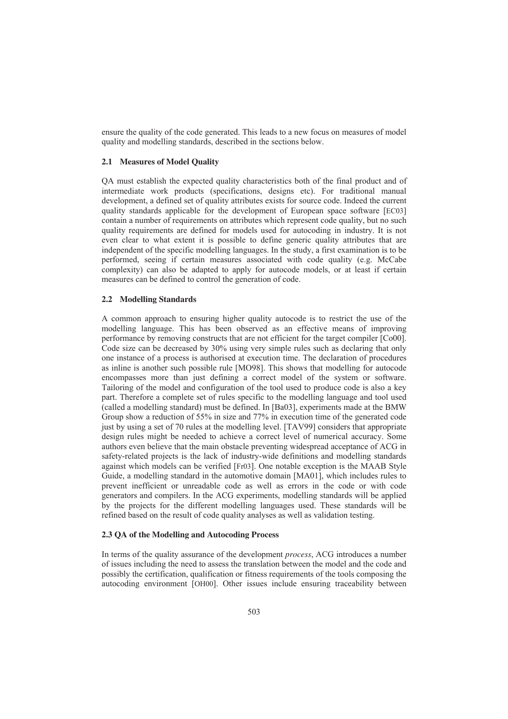ensure the quality of the code generated. This leads to a new focus on measures of model quality and modelling standards, described in the sections below.

#### 2.1 Measures of Model Quality

QA must establish the expected quality characteristics both of the final product and of intermediate work products (specifications, designs etc). For traditional manual development, a defined set of quality attributes exists for source code. Indeed the current quality standards applicable for the development of European space software [EC03] contain a number of requirements on attributes which represent code quality, but no such quality requirements are defined for models used for autocoding in industry. It is not even clear to what extent it is possible to define generic quality attributes that are independent of the specific modelling languages. In the study, a first examination is to be performed, seeing if certain measures associated with code quality (e.g. McCabe complexity) can also be adapted to apply for autocode models, or at least if certain measures can be defined to control the generation of code.

### 2.2 Modelling Standards

A common approach to ensuring higher quality autocode is to restrict the use of the modelling language. This has been observed as an effective means of improving performance by removing constructs that are not efficient for the target compiler [Co00]. Code size can be decreased by 30% using very simple rules such as declaring that only one instance of a process is authorised at execution time. The declaration of procedures as inline is another such possible rule [MO98]. This shows that modelling for autocode encompasses more than just defining a correct model of the system or software. Tailoring of the model and configuration of the tool used to produce code is also a key part. Therefore a complete set of rules specific to the modelling language and tool used (called a modelling standard) must be defined. In [Ba03], experiments made at the BMW Group show a reduction of 55% in size and 77% in execution time of the generated code just by using a set of 70 rules at the modelling level. [TAV99] considers that appropriate design rules might be needed to achieve a correct level of numerical accuracy. Some authors even believe that the main obstacle preventing widespread acceptance of ACG in safety-related projects is the lack of industry-wide definitions and modelling standards against which models can be verified [Fr03]. One notable exception is the MAAB Style Guide, a modelling standard in the automotive domain [MA01], which includes rules to prevent inefficient or unreadable code as well as errors in the code or with code generators and compilers. In the ACG experiments, modelling standards will be applied by the projects for the different modelling languages used. These standards will be refined based on the result of code quality analyses as well as validation testing.

2.3 QA of the Modelling and Autocoding Process<br>In terms of the quality assurance of the development *process*, ACG introduces a number of issues including the need to assess the translation between the model and the code and possibly the certification, qualification or fitness requirements of the tools composing the autocoding environment [OH00]. Other issues include ensuring traceability between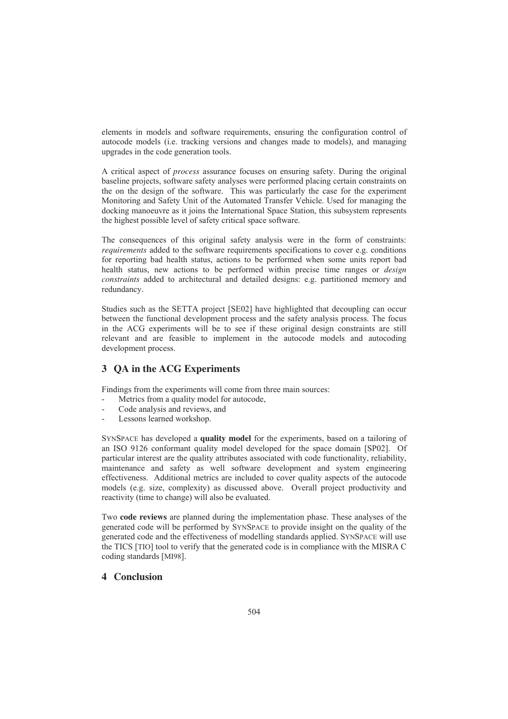elements in models and software requirements, ensuring the configuration control of autocode models (i.e. tracking versions and changes made to models), and managing upgrades in the code generation tools.

A critical aspect of *process* assurance focuses on ensuring safety. During the original baseline projects, software safety analyses were performed placing certain constraints on the on the design of the software. This was particularly the case for the experiment Monitoring and Safety Unit of the Automated Transfer Vehicle. Used for managing the docking manoeuvre as it joins the International Space Station, this subsystem represents the highest possible level of safety critical space software.

The consequences of this original safety analysis were in the form of constraints: requirements added to the software requirements specifications to cover e.g. conditions for reporting bad health status, actions to be performed when some units report bad The consequences of this original safety analysis were in the form of constraints:<br>*requirements* added to the software requirements specifications to cover e.g. conditions<br>for reporting bad health status, actions to be pe health status, new actions to be performed within precise time ranges or *design* constraints added to architectural and detailed designs: e.g. partitioned memory and redundancy.

Studies such as the SETTA project [SE02] have highlighted that decoupling can occur between the functional development process and the safety analysis process. The focus in the ACG experiments will be to see if these original design constraints are still relevant and are feasible to implement in the autocode models and autocoding development process.

## 3 OA in the ACG Experiments

Findings from the experiments will come from three main sources:

- Metrics from a quality model for autocode,
- Code analysis and reviews, and
- Lessons learned workshop.

<sup>S</sup>YNSPACE has developed a **quality model** for the experiments, based on a tailoring of an ISO 9126 conformant quality model developed for the space domain [SP02]. Of particular interest are the quality attributes associated with code functionality, reliability, maintenance and safety as well software development and system engineering effectiveness. Additional metrics are included to cover quality aspects of the autocode models (e.g. size, complexity) as discussed above. Overall project productivity and reactivity (time to change) will also be evaluated.

Two **code reviews** are planned during the implementation phase. These analyses of the generated code will be performed by SYNSPACE to provide insight on the quality of the generated code and the effectiveness of modelling standards applied. SYNSPACE will use the TICS [TIO] tool to verify that the generated code is in compliance with the MISRA C coding standards [MI98].

## 4 Conclusion